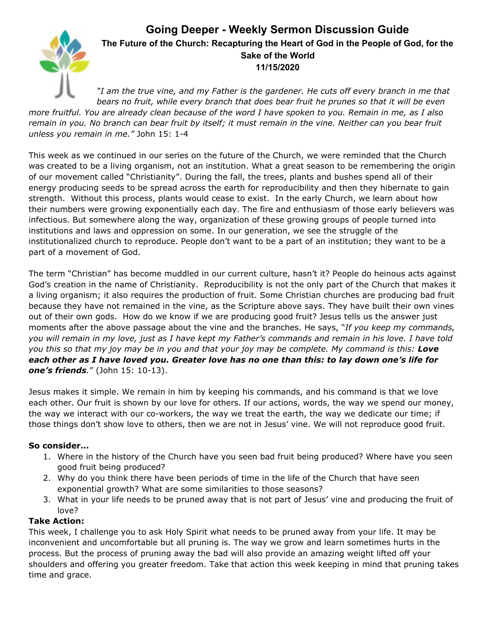## **Going Deeper - Weekly Sermon Discussion Guide**



## **The Future of the Church: Recapturing the Heart of God in the People of God, for the Sake of the World 11/15/2020**

*"I am the true vine, and my Father is the gardener. He cuts off every branch in me that bears no fruit, while every branch that does bear fruit he prunes so that it will be even* more fruitful. You are already clean because of the word I have spoken to you. Remain in me, as I also remain in you. No branch can bear fruit by itself; it must remain in the vine. Neither can you bear fruit *unless you remain in me."* John 15: 1-4

This week as we continued in our series on the future of the Church, we were reminded that the Church was created to be a living organism, not an institution. What a great season to be remembering the origin of our movement called "Christianity". During the fall, the trees, plants and bushes spend all of their energy producing seeds to be spread across the earth for reproducibility and then they hibernate to gain strength. Without this process, plants would cease to exist. In the early Church, we learn about how their numbers were growing exponentially each day. The fire and enthusiasm of those early believers was infectious. But somewhere along the way, organization of these growing groups of people turned into institutions and laws and oppression on some. In our generation, we see the struggle of the institutionalized church to reproduce. People don't want to be a part of an institution; they want to be a part of a movement of God.

The term "Christian" has become muddled in our current culture, hasn't it? People do heinous acts against God's creation in the name of Christianity. Reproducibility is not the only part of the Church that makes it a living organism; it also requires the production of fruit. Some Christian churches are producing bad fruit because they have not remained in the vine, as the Scripture above says. They have built their own vines out of their own gods. How do we know if we are producing good fruit? Jesus tells us the answer just moments after the above passage about the vine and the branches. He says, "*If you keep my commands,* you will remain in my love, just as I have kept my Father's commands and remain in his love. I have told you this so that my joy may be in you and that your joy may be complete. My command is this: Love each other as I have loved you. Greater love has no one than this: to lay down one's life for *one's friends.*" (John 15: 10-13).

Jesus makes it simple. We remain in him by keeping his commands, and his command is that we love each other. Our fruit is shown by our love for others. If our actions, words, the way we spend our money, the way we interact with our co-workers, the way we treat the earth, the way we dedicate our time; if those things don't show love to others, then we are not in Jesus' vine. We will not reproduce good fruit.

## **So consider…**

- 1. Where in the history of the Church have you seen bad fruit being produced? Where have you seen good fruit being produced?
- 2. Why do you think there have been periods of time in the life of the Church that have seen exponential growth? What are some similarities to those seasons?
- 3. What in your life needs to be pruned away that is not part of Jesus' vine and producing the fruit of love?

## **Take Action:**

This week, I challenge you to ask Holy Spirit what needs to be pruned away from your life. It may be inconvenient and uncomfortable but all pruning is. The way we grow and learn sometimes hurts in the process. But the process of pruning away the bad will also provide an amazing weight lifted off your shoulders and offering you greater freedom. Take that action this week keeping in mind that pruning takes time and grace.